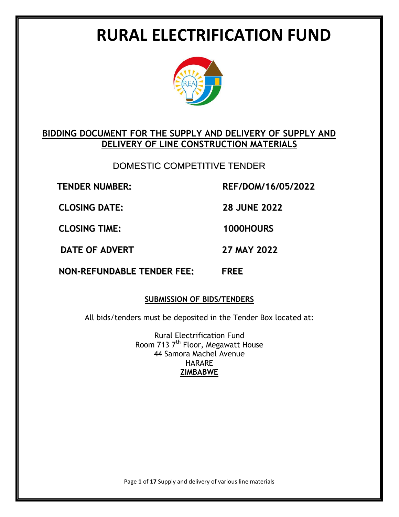# **RURAL ELECTRIFICATION FUND**



# **BIDDING DOCUMENT FOR THE SUPPLY AND DELIVERY OF SUPPLY AND DELIVERY OF LINE CONSTRUCTION MATERIALS**

DOMESTIC COMPETITIVE TENDER

**TENDER NUMBER: REF/DOM/16/05/2022**

**CLOSING DATE: 28 JUNE 2022**

**CLOSING TIME: 1000HOURS**

**DATE OF ADVERT 27 MAY 2022**

**NON-REFUNDABLE TENDER FEE: FREE**

# **SUBMISSION OF BIDS/TENDERS**

All bids/tenders must be deposited in the Tender Box located at:

Rural Electrification Fund Room 713 7<sup>th</sup> Floor, Megawatt House 44 Samora Machel Avenue HARARE **ZIMBABWE**

Page **1** of **17** Supply and delivery of various line materials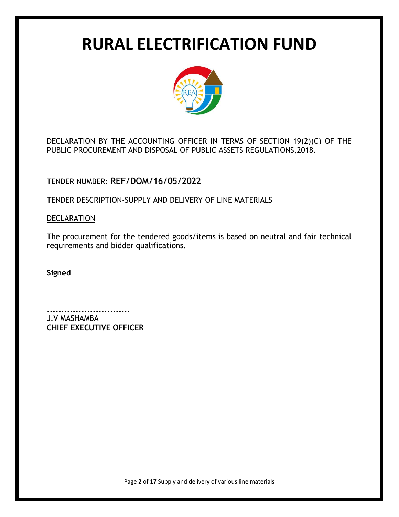# **RURAL ELECTRIFICATION FUND**



# DECLARATION BY THE ACCOUNTING OFFICER IN TERMS OF SECTION 19(2)(C) OF THE PUBLIC PROCUREMENT AND DISPOSAL OF PUBLIC ASSETS REGULATIONS,2018.

TENDER NUMBER: REF/DOM/16/05/2022

TENDER DESCRIPTION-SUPPLY AND DELIVERY OF LINE MATERIALS

### **DECLARATION**

The procurement for the tendered goods/items is based on neutral and fair technical requirements and bidder qualifications.

**Signed**

**.............................** J.V MASHAMBA **CHIEF EXECUTIVE OFFICER**

Page **2** of **17** Supply and delivery of various line materials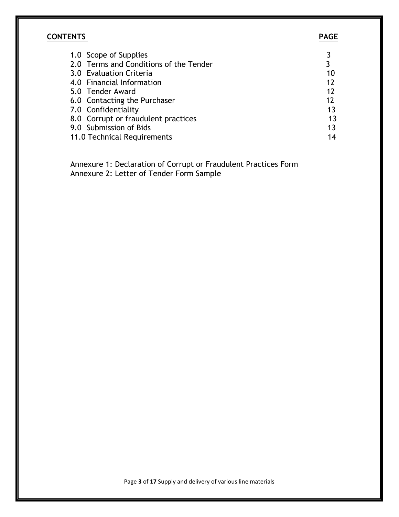# **CONTENTS PAGE**

| 1.0 Scope of Supplies                  |    |
|----------------------------------------|----|
| 2.0 Terms and Conditions of the Tender | 3  |
| 3.0 Evaluation Criteria                | 10 |
| 4.0 Financial Information              | 12 |
| 5.0 Tender Award                       | 12 |
| 6.0 Contacting the Purchaser           | 12 |
| 7.0 Confidentiality                    | 13 |
| 8.0 Corrupt or fraudulent practices    | 13 |
| 9.0 Submission of Bids                 | 13 |
| 11.0 Technical Requirements            | 14 |

 Annexure 1: Declaration of Corrupt or Fraudulent Practices Form Annexure 2: Letter of Tender Form Sample

Page **3** of **17** Supply and delivery of various line materials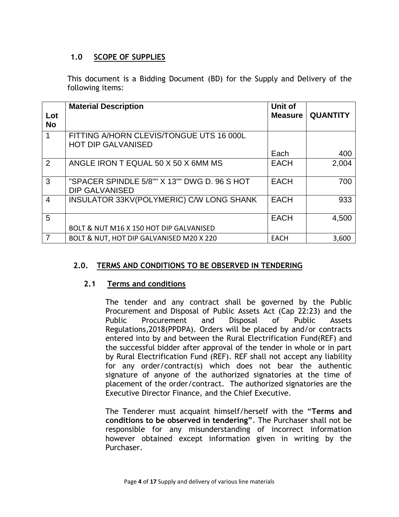#### **1.0 SCOPE OF SUPPLIES**

This document is a Bidding Document (BD) for the Supply and Delivery of the following items:

| Lot            | <b>Material Description</b>                                           | Unit of<br><b>Measure</b> | <b>QUANTITY</b> |
|----------------|-----------------------------------------------------------------------|---------------------------|-----------------|
| <b>No</b>      |                                                                       |                           |                 |
|                | FITTING A/HORN CLEVIS/TONGUE UTS 16 000L<br><b>HOT DIP GALVANISED</b> |                           |                 |
|                |                                                                       | Each                      | 400             |
| 2              | ANGLE IRON T EQUAL 50 X 50 X 6MM MS                                   | <b>EACH</b>               | 2,004           |
| 3              | "SPACER SPINDLE 5/8"" X 13"" DWG D, 96 S HOT<br><b>DIP GALVANISED</b> | <b>EACH</b>               | 700             |
| $\overline{4}$ | INSULATOR 33KV(POLYMERIC) C/W LONG SHANK                              | <b>EACH</b>               | 933             |
| 5              |                                                                       | <b>EACH</b>               | 4,500           |
|                | BOLT & NUT M16 X 150 HOT DIP GALVANISED                               |                           |                 |
|                | BOLT & NUT, HOT DIP GALVANISED M20 X 220                              | <b>EACH</b>               | 3,600           |

### **2.0. TERMS AND CONDITIONS TO BE OBSERVED IN TENDERING**

#### **2.1 Terms and conditions**

The tender and any contract shall be governed by the Public Procurement and Disposal of Public Assets Act (Cap 22:23) and the Public Procurement and Disposal of Public Assets Regulations,2018(PPDPA). Orders will be placed by and/or contracts entered into by and between the Rural Electrification Fund(REF) and the successful bidder after approval of the tender in whole or in part by Rural Electrification Fund (REF). REF shall not accept any liability for any order/contract(s) which does not bear the authentic signature of anyone of the authorized signatories at the time of placement of the order/contract. The authorized signatories are the Executive Director Finance, and the Chief Executive.

The Tenderer must acquaint himself/herself with the "**Terms and conditions to be observed in tendering"**. The Purchaser shall not be responsible for any misunderstanding of incorrect information however obtained except information given in writing by the Purchaser.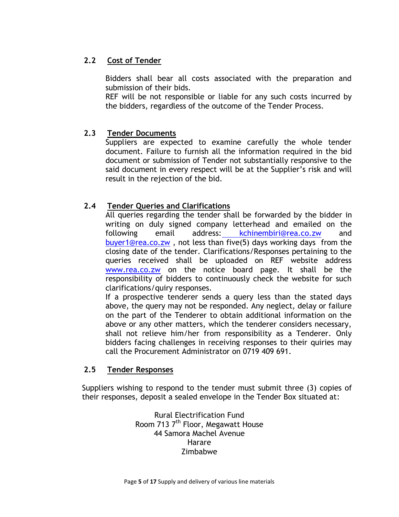# **2.2 Cost of Tender**

Bidders shall bear all costs associated with the preparation and submission of their bids.

REF will be not responsible or liable for any such costs incurred by the bidders, regardless of the outcome of the Tender Process.

### **2.3 Tender Documents**

Suppliers are expected to examine carefully the whole tender document. Failure to furnish all the information required in the bid document or submission of Tender not substantially responsive to the said document in every respect will be at the Supplier's risk and will result in the rejection of the bid.

# **2.4 Tender Queries and Clarifications**

All queries regarding the tender shall be forwarded by the bidder in writing on duly signed company letterhead and emailed on the following email address: [kchinembiri@rea.co.zw](mailto:%20kchinembiri@rea.co.zw) and [buyer1@rea.co.zw](mailto:buyer1@rea.co.zw) , not less than five(5) days working days from the closing date of the tender. Clarifications/Responses pertaining to the queries received shall be uploaded on REF website address [www.rea.co.zw](http://www.rea.co.zw/) on the notice board page. It shall be the responsibility of bidders to continuously check the website for such clarifications/quiry responses.

If a prospective tenderer sends a query less than the stated days above, the query may not be responded. Any neglect, delay or failure on the part of the Tenderer to obtain additional information on the above or any other matters, which the tenderer considers necessary, shall not relieve him/her from responsibility as a Tenderer. Only bidders facing challenges in receiving responses to their quiries may call the Procurement Administrator on 0719 409 691.

### **2.5 Tender Responses**

Suppliers wishing to respond to the tender must submit three (3) copies of their responses, deposit a sealed envelope in the Tender Box situated at:

> Rural Electrification Fund Room 713 7<sup>th</sup> Floor, Megawatt House 44 Samora Machel Avenue Harare Zimbabwe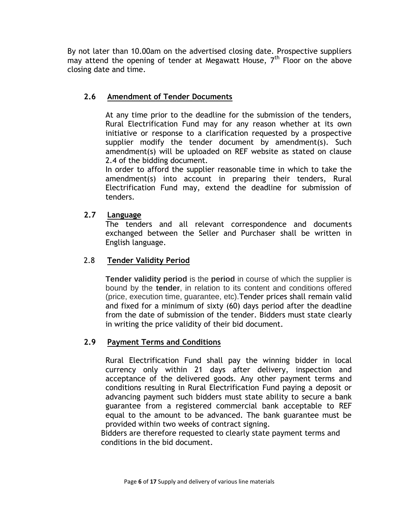By not later than 10.00am on the advertised closing date. Prospective suppliers may attend the opening of tender at Megawatt House,  $7<sup>th</sup>$  Floor on the above closing date and time.

# **2.6 Amendment of Tender Documents**

At any time prior to the deadline for the submission of the tenders, Rural Electrification Fund may for any reason whether at its own initiative or response to a clarification requested by a prospective supplier modify the tender document by amendment(s). Such amendment(s) will be uploaded on REF website as stated on clause 2.4 of the bidding document.

In order to afford the supplier reasonable time in which to take the amendment(s) into account in preparing their tenders, Rural Electrification Fund may, extend the deadline for submission of tenders.

### **2.7 Language**

The tenders and all relevant correspondence and documents exchanged between the Seller and Purchaser shall be written in English language.

### 2.8 **Tender Validity Period**

**Tender validity period** is the **period** in course of which the supplier is bound by the **tender**, in relation to its content and conditions offered (price, execution time, guarantee, etc).Tender prices shall remain valid and fixed for a minimum of sixty (60) days period after the deadline from the date of submission of the tender. Bidders must state clearly in writing the price validity of their bid document.

# **2.9 Payment Terms and Conditions**

Rural Electrification Fund shall pay the winning bidder in local currency only within 21 days after delivery, inspection and acceptance of the delivered goods. Any other payment terms and conditions resulting in Rural Electrification Fund paying a deposit or advancing payment such bidders must state ability to secure a bank guarantee from a registered commercial bank acceptable to REF equal to the amount to be advanced. The bank guarantee must be provided within two weeks of contract signing.

 Bidders are therefore requested to clearly state payment terms and conditions in the bid document.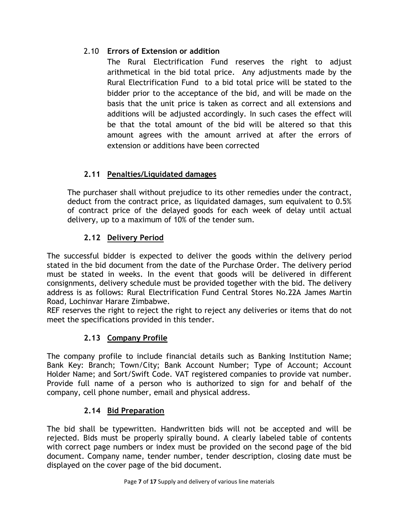# 2.10 **Errors of Extension or addition**

The Rural Electrification Fund reserves the right to adjust arithmetical in the bid total price. Any adjustments made by the Rural Electrification Fund to a bid total price will be stated to the bidder prior to the acceptance of the bid, and will be made on the basis that the unit price is taken as correct and all extensions and additions will be adjusted accordingly. In such cases the effect will be that the total amount of the bid will be altered so that this amount agrees with the amount arrived at after the errors of extension or additions have been corrected

# **2.11 Penalties/Liquidated damages**

The purchaser shall without prejudice to its other remedies under the contract, deduct from the contract price, as liquidated damages, sum equivalent to 0.5% of contract price of the delayed goods for each week of delay until actual delivery, up to a maximum of 10% of the tender sum.

# **2.12 Delivery Period**

The successful bidder is expected to deliver the goods within the delivery period stated in the bid document from the date of the Purchase Order. The delivery period must be stated in weeks. In the event that goods will be delivered in different consignments, delivery schedule must be provided together with the bid. The delivery address is as follows: Rural Electrification Fund Central Stores No.22A James Martin Road, Lochinvar Harare Zimbabwe.

REF reserves the right to reject the right to reject any deliveries or items that do not meet the specifications provided in this tender.

# **2.13 Company Profile**

The company profile to include financial details such as Banking Institution Name; Bank Key: Branch; Town/City; Bank Account Number; Type of Account; Account Holder Name; and Sort/Swift Code. VAT registered companies to provide vat number. Provide full name of a person who is authorized to sign for and behalf of the company, cell phone number, email and physical address.

# **2.14 Bid Preparation**

The bid shall be typewritten. Handwritten bids will not be accepted and will be rejected. Bids must be properly spirally bound. A clearly labeled table of contents with correct page numbers or index must be provided on the second page of the bid document. Company name, tender number, tender description, closing date must be displayed on the cover page of the bid document.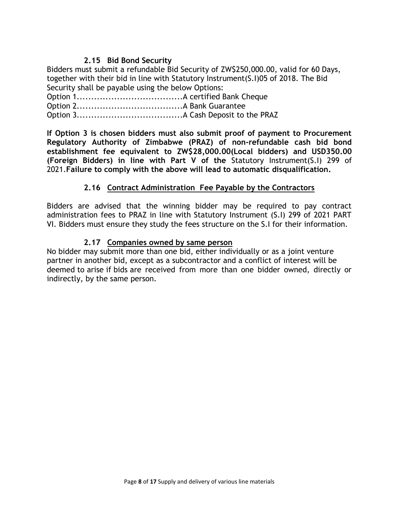### **2.15 Bid Bond Security**

Bidders must submit a refundable Bid Security of ZW\$250,000.00, valid for 60 Days, together with their bid in line with Statutory Instrument(S.I)05 of 2018. The Bid Security shall be payable using the below Options:

Option 1.....................................A certified Bank Cheque Option 2.....................................A Bank Guarantee

Option 3.....................................A Cash Deposit to the PRAZ

**If Option 3 is chosen bidders must also submit proof of payment to Procurement Regulatory Authority of Zimbabwe (PRAZ) of non-refundable cash bid bond establishment fee equivalent to ZW\$28,000.00(Local bidders) and USD350.00 (Foreign Bidders) in line with Part V of the** Statutory Instrument(S.I) 299 of 2021.**Failure to comply with the above will lead to automatic disqualification.**

### **2.16 Contract Administration Fee Payable by the Contractors**

Bidders are advised that the winning bidder may be required to pay contract administration fees to PRAZ in line with Statutory Instrument (S.I) 299 of 2021 PART VI. Bidders must ensure they study the fees structure on the S.I for their information.

#### **2.17 Companies owned by same person**

No bidder may submit more than one bid, either individually or as a joint venture partner in another bid, except as a subcontractor and a conflict of interest will be deemed to arise if bids are received from more than one bidder owned, directly or indirectly, by the same person.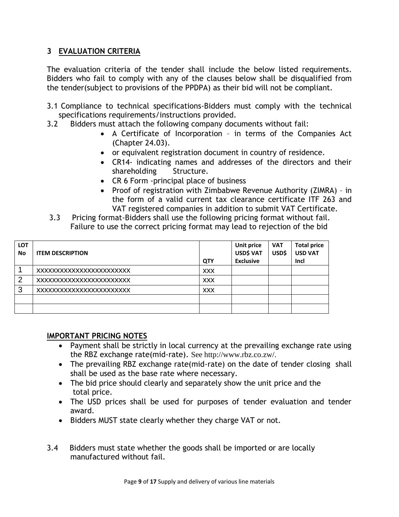# **3 EVALUATION CRITERIA**

The evaluation criteria of the tender shall include the below listed requirements. Bidders who fail to comply with any of the clauses below shall be disqualified from the tender(subject to provisions of the PPDPA) as their bid will not be compliant.

- 3.1 Compliance to technical specifications-Bidders must comply with the technical specifications requirements/instructions provided.
- 3.2 Bidders must attach the following company documents without fail:
	- A Certificate of Incorporation in terms of the Companies Act (Chapter 24.03).
	- or equivalent registration document in country of residence.
	- CR14- indicating names and addresses of the directors and their shareholding Structure.
	- CR 6 Form -principal place of business
	- Proof of registration with Zimbabwe Revenue Authority (ZIMRA) in the form of a valid current tax clearance certificate ITF 263 and VAT registered companies in addition to submit VAT Certificate.
- 3.3 Pricing format-Bidders shall use the following pricing format without fail. Failure to use the correct pricing format may lead to rejection of the bid

| <b>LOT</b><br><b>No</b> | <b>ITEM DESCRIPTION</b>  | <b>QTY</b> | Unit price<br>USD\$ VAT<br><b>Exclusive</b> | <b>VAT</b><br>USD\$ | <b>Total price</b><br><b>USD VAT</b><br>Incl |
|-------------------------|--------------------------|------------|---------------------------------------------|---------------------|----------------------------------------------|
|                         | XXXXXXXXXXXXXXXXXXXXXXXX | <b>XXX</b> |                                             |                     |                                              |
| 2                       | XXXXXXXXXXXXXXXXXXXXXXXX | <b>XXX</b> |                                             |                     |                                              |
| 3                       | XXXXXXXXXXXXXXXXXXXXXXXX | <b>XXX</b> |                                             |                     |                                              |
|                         |                          |            |                                             |                     |                                              |
|                         |                          |            |                                             |                     |                                              |

### **IMPORTANT PRICING NOTES**

- Payment shall be strictly in local currency at the prevailing exchange rate using the RBZ exchange rate(mid-rate). See http://www.rbz.co.zw/.
- The prevailing RBZ exchange rate(mid-rate) on the date of tender closing shall shall be used as the base rate where necessary.
- The bid price should clearly and separately show the unit price and the total price.
- The USD prices shall be used for purposes of tender evaluation and tender award.
- Bidders MUST state clearly whether they charge VAT or not.
- 3.4 Bidders must state whether the goods shall be imported or are locally manufactured without fail.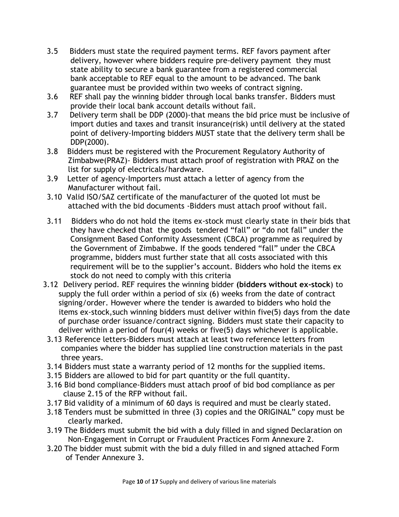- 3.5 Bidders must state the required payment terms. REF favors payment after delivery, however where bidders require pre-delivery payment they must state ability to secure a bank guarantee from a registered commercial bank acceptable to REF equal to the amount to be advanced. The bank guarantee must be provided within two weeks of contract signing.
- 3.6 REF shall pay the winning bidder through local banks transfer. Bidders must provide their local bank account details without fail.
- 3.7 Delivery term shall be DDP (2000)-that means the bid price must be inclusive of import duties and taxes and transit insurance(risk) until delivery at the stated point of delivery-Importing bidders MUST state that the delivery term shall be DDP(2000).
- 3.8 Bidders must be registered with the Procurement Regulatory Authority of Zimbabwe(PRAZ)- Bidders must attach proof of registration with PRAZ on the list for supply of electricals/hardware.
- 3.9 Letter of agency-Importers must attach a letter of agency from the Manufacturer without fail.
- 3.10 Valid ISO/SAZ certificate of the manufacturer of the quoted lot must be attached with the bid documents -Bidders must attach proof without fail.
- 3.11 Bidders who do not hold the items ex-stock must clearly state in their bids that they have checked that the goods tendered "fall" or "do not fall" under the Consignment Based Conformity Assessment (CBCA) programme as required by the Government of Zimbabwe. If the goods tendered "fall" under the CBCA programme, bidders must further state that all costs associated with this requirement will be to the supplier's account. Bidders who hold the items ex stock do not need to comply with this criteria
- 3.12 Delivery period. REF requires the winning bidder **(bidders without ex-stock**) to supply the full order within a period of six (6) weeks from the date of contract signing/order. However where the tender is awarded to bidders who hold the items ex-stock,such winning bidders must deliver within five(5) days from the date of purchase order issuance/contract signing. Bidders must state their capacity to deliver within a period of four(4) weeks or five(5) days whichever is applicable.
- 3.13 Reference letters-Bidders must attach at least two reference letters from companies where the bidder has supplied line construction materials in the past three years.
- 3.14 Bidders must state a warranty period of 12 months for the supplied items.
- 3.15 Bidders are allowed to bid for part quantity or the full quantity.
- 3.16 Bid bond compliance-Bidders must attach proof of bid bod compliance as per clause 2.15 of the RFP without fail.
- 3.17 Bid validity of a minimum of 60 days is required and must be clearly stated.
- 3.18 Tenders must be submitted in three (3) copies and the ORIGINAL" copy must be clearly marked.
- 3.19 The Bidders must submit the bid with a duly filled in and signed Declaration on Non-Engagement in Corrupt or Fraudulent Practices Form Annexure 2.
- 3.20 The bidder must submit with the bid a duly filled in and signed attached Form of Tender Annexure 3.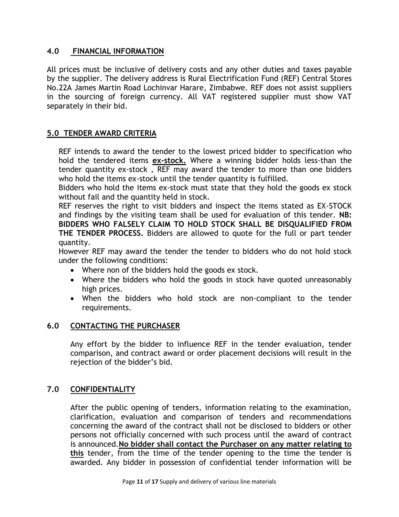### **4.0 FINANCIAL INFORMATION**

All prices must be inclusive of delivery costs and any other duties and taxes payable by the supplier. The delivery address is Rural Electrification Fund (REF) Central Stores No.22A James Martin Road Lochinvar Harare, Zimbabwe. REF does not assist suppliers in the sourcing of foreign currency. All VAT registered supplier must show VAT separately in their bid.

#### **5.0 TENDER AWARD CRITERIA**

REF intends to award the tender to the lowest priced bidder to specification who hold the tendered items **ex-stock.** Where a winning bidder holds less-than the tender quantity ex-stock , REF may award the tender to more than one bidders who hold the items ex-stock until the tender quantity is fulfilled.

Bidders who hold the items ex-stock must state that they hold the goods ex stock without fail and the quantity held in stock.

REF reserves the right to visit bidders and inspect the items stated as EX-STOCK and findings by the visiting team shall be used for evaluation of this tender. **NB: BIDDERS WHO FALSELY CLAIM TO HOLD STOCK SHALL BE DISQUALIFIED FROM THE TENDER PROCESS.** Bidders are allowed to quote for the full or part tender quantity.

However REF may award the tender the tender to bidders who do not hold stock under the following conditions:

- Where non of the bidders hold the goods ex stock.
- Where the bidders who hold the goods in stock have quoted unreasonably high prices.
- When the bidders who hold stock are non-compliant to the tender requirements.

#### **6.0 CONTACTING THE PURCHASER**

Any effort by the bidder to influence REF in the tender evaluation, tender comparison, and contract award or order placement decisions will result in the rejection of the bidder's bid.

### **7.0 CONFIDENTIALITY**

After the public opening of tenders, information relating to the examination, clarification, evaluation and comparison of tenders and recommendations concerning the award of the contract shall not be disclosed to bidders or other persons not officially concerned with such process until the award of contract is announced.**No bidder shall contact the Purchaser on any matter relating to this** tender, from the time of the tender opening to the time the tender is awarded. Any bidder in possession of confidential tender information will be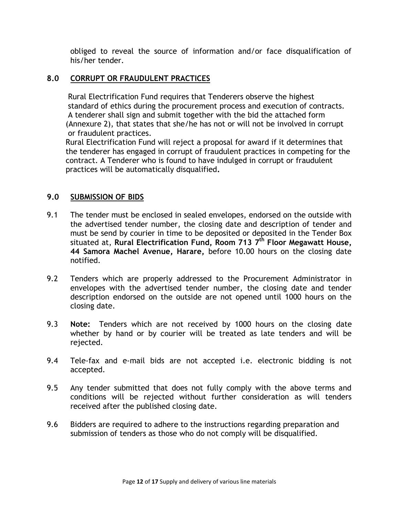obliged to reveal the source of information and/or face disqualification of his/her tender.

#### **8.0 CORRUPT OR FRAUDULENT PRACTICES**

 Rural Electrification Fund requires that Tenderers observe the highest standard of ethics during the procurement process and execution of contracts. A tenderer shall sign and submit together with the bid the attached form (Annexure 2), that states that she/he has not or will not be involved in corrupt or fraudulent practices.

 Rural Electrification Fund will reject a proposal for award if it determines that the tenderer has engaged in corrupt of fraudulent practices in competing for the contract. A Tenderer who is found to have indulged in corrupt or fraudulent practices will be automatically disqualified**.**

#### **9.0 SUBMISSION OF BIDS**

- 9.1 The tender must be enclosed in sealed envelopes, endorsed on the outside with the advertised tender number, the closing date and description of tender and must be send by courier in time to be deposited or deposited in the Tender Box situated at, **Rural Electrification Fund, Room 713 7 th Floor Megawatt House, 44 Samora Machel Avenue, Harare,** before 10.00 hours on the closing date notified.
- 9.2 Tenders which are properly addressed to the Procurement Administrator in envelopes with the advertised tender number, the closing date and tender description endorsed on the outside are not opened until 1000 hours on the closing date.
- 9.3 **Note:** Tenders which are not received by 1000 hours on the closing date whether by hand or by courier will be treated as late tenders and will be rejected.
- 9.4 Tele-fax and e-mail bids are not accepted i.e. electronic bidding is not accepted.
- 9.5 Any tender submitted that does not fully comply with the above terms and conditions will be rejected without further consideration as will tenders received after the published closing date.
- 9.6 Bidders are required to adhere to the instructions regarding preparation and submission of tenders as those who do not comply will be disqualified.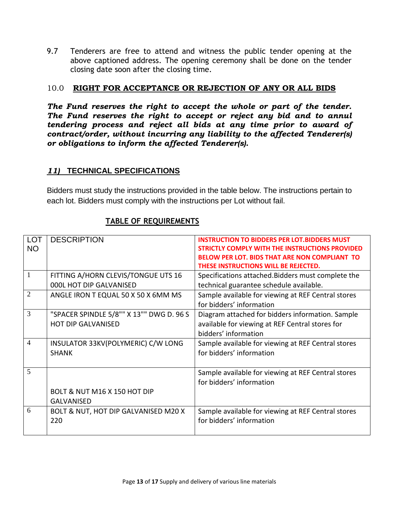9.7 Tenderers are free to attend and witness the public tender opening at the above captioned address. The opening ceremony shall be done on the tender closing date soon after the closing time.

#### 10.0 **RIGHT FOR ACCEPTANCE OR REJECTION OF ANY OR ALL BIDS**

*The Fund reserves the right to accept the whole or part of the tender. The Fund reserves the right to accept or reject any bid and to annul tendering process and reject all bids at any time prior to award of contract/order, without incurring any liability to the affected Tenderer(s) or obligations to inform the affected Tenderer(s).*

### *11)* **TECHNICAL SPECIFICATIONS**

Bidders must study the instructions provided in the table below. The instructions pertain to each lot. Bidders must comply with the instructions per Lot without fail.

| <b>LOT</b>     | <b>DESCRIPTION</b>                       | <b>INSTRUCTION TO BIDDERS PER LOT. BIDDERS MUST</b>  |
|----------------|------------------------------------------|------------------------------------------------------|
| <b>NO</b>      |                                          | STRICTLY COMPLY WITH THE INSTRUCTIONS PROVIDED       |
|                |                                          | <b>BELOW PER LOT. BIDS THAT ARE NON COMPLIANT TO</b> |
|                |                                          | THESE INSTRUCTIONS WILL BE REJECTED.                 |
| $\overline{1}$ | FITTING A/HORN CLEVIS/TONGUE UTS 16      | Specifications attached. Bidders must complete the   |
|                | 000L HOT DIP GALVANISED                  | technical guarantee schedule available.              |
| $\overline{2}$ | ANGLE IRON T EQUAL 50 X 50 X 6MM MS      | Sample available for viewing at REF Central stores   |
|                |                                          | for bidders' information                             |
| $\overline{3}$ | "SPACER SPINDLE 5/8"" X 13"" DWG D. 96 S | Diagram attached for bidders information. Sample     |
|                | <b>HOT DIP GALVANISED</b>                | available for viewing at REF Central stores for      |
|                |                                          | bidders' information                                 |
| $\overline{4}$ | INSULATOR 33KV(POLYMERIC) C/W LONG       | Sample available for viewing at REF Central stores   |
|                | <b>SHANK</b>                             | for bidders' information                             |
|                |                                          |                                                      |
| $\overline{5}$ |                                          | Sample available for viewing at REF Central stores   |
|                |                                          | for bidders' information                             |
|                | BOLT & NUT M16 X 150 HOT DIP             |                                                      |
|                | <b>GALVANISED</b>                        |                                                      |
| 6              | BOLT & NUT, HOT DIP GALVANISED M20 X     | Sample available for viewing at REF Central stores   |
|                | 220                                      | for bidders' information                             |
|                |                                          |                                                      |

#### **TABLE OF REQUIREMENTS**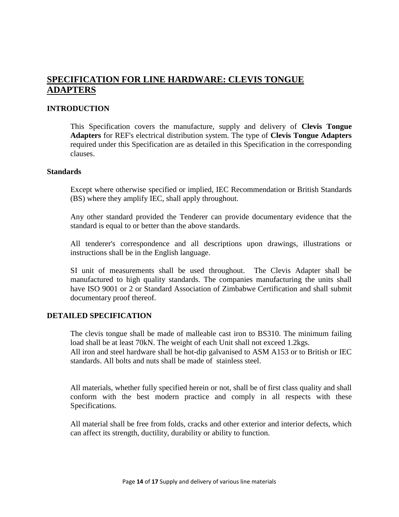# **SPECIFICATION FOR LINE HARDWARE: CLEVIS TONGUE ADAPTERS**

#### **INTRODUCTION**

This Specification covers the manufacture, supply and delivery of **Clevis Tongue Adapters** for REF's electrical distribution system. The type of **Clevis Tongue Adapters** required under this Specification are as detailed in this Specification in the corresponding clauses.

#### **Standards**

Except where otherwise specified or implied, IEC Recommendation or British Standards (BS) where they amplify IEC, shall apply throughout.

Any other standard provided the Tenderer can provide documentary evidence that the standard is equal to or better than the above standards.

All tenderer's correspondence and all descriptions upon drawings, illustrations or instructions shall be in the English language.

SI unit of measurements shall be used throughout. The Clevis Adapter shall be manufactured to high quality standards. The companies manufacturing the units shall have ISO 9001 or 2 or Standard Association of Zimbabwe Certification and shall submit documentary proof thereof.

#### **DETAILED SPECIFICATION**

The clevis tongue shall be made of malleable cast iron to BS310. The minimum failing load shall be at least 70kN. The weight of each Unit shall not exceed 1.2kgs. All iron and steel hardware shall be hot-dip galvanised to ASM A153 or to British or IEC standards. All bolts and nuts shall be made of stainless steel.

All materials, whether fully specified herein or not, shall be of first class quality and shall conform with the best modern practice and comply in all respects with these Specifications.

All material shall be free from folds, cracks and other exterior and interior defects, which can affect its strength, ductility, durability or ability to function.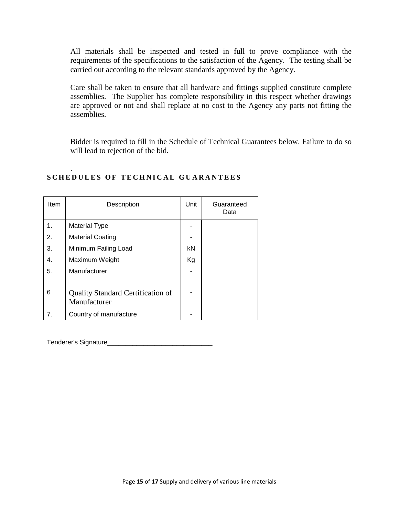All materials shall be inspected and tested in full to prove compliance with the requirements of the specifications to the satisfaction of the Agency. The testing shall be carried out according to the relevant standards approved by the Agency.

Care shall be taken to ensure that all hardware and fittings supplied constitute complete assemblies. The Supplier has complete responsibility in this respect whether drawings are approved or not and shall replace at no cost to the Agency any parts not fitting the assemblies.

Bidder is required to fill in the Schedule of Technical Guarantees below. Failure to do so will lead to rejection of the bid.

| Item | Description                                              | Unit | Guaranteed<br>Data |
|------|----------------------------------------------------------|------|--------------------|
| 1.   | <b>Material Type</b>                                     |      |                    |
| 2.   | <b>Material Coating</b>                                  |      |                    |
| 3.   | Minimum Failing Load                                     | kN   |                    |
| 4.   | Maximum Weight                                           | Kg   |                    |
| 5.   | Manufacturer                                             |      |                    |
| 6    | <b>Quality Standard Certification of</b><br>Manufacturer |      |                    |
| 7.   | Country of manufacture                                   |      |                    |

#### . **SCHEDULES OF TECHNICAL GUARANTEES**

Tenderer's Signature\_\_\_\_\_\_\_\_\_\_\_\_\_\_\_\_\_\_\_\_\_\_\_\_\_\_\_\_\_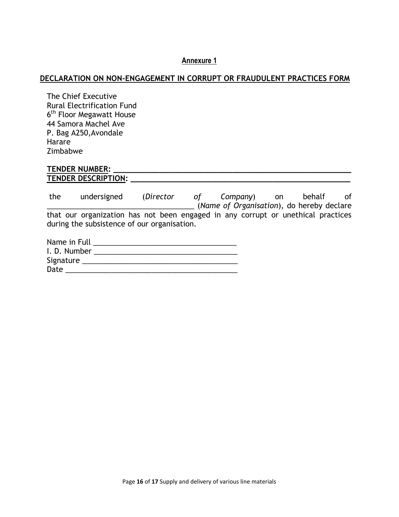#### **Annexure 1**

#### **DECLARATION ON NON-ENGAGEMENT IN CORRUPT OR FRAUDULENT PRACTICES FORM**

The Chief Executive Rural Electrification Fund 6<sup>th</sup> Floor Megawatt House 44 Samora Machel Ave P. Bag A250,Avondale Harare Zimbabwe

#### **TENDER NUMBER: \_\_\_\_\_\_\_\_\_\_\_\_\_\_\_\_\_\_\_\_\_\_\_\_\_\_\_\_\_\_\_\_\_\_\_\_\_\_\_\_\_\_\_\_\_\_\_\_\_\_\_\_ TENDER DESCRIPTION: \_\_\_\_\_\_\_\_\_\_\_\_\_\_\_\_\_\_\_\_\_\_\_\_\_\_\_\_\_\_\_\_\_\_\_\_\_\_\_\_\_\_\_\_\_\_\_\_**

the undersigned (*Director of Company*) on behalf of \_\_\_\_\_\_\_\_\_\_\_\_\_\_\_\_\_\_\_\_\_\_\_\_\_\_\_\_\_\_\_\_\_\_\_\_ (*Name of Organisation*), do hereby declare that our organization has not been engaged in any corrupt or unethical practices during the subsistence of our organisation.

| Name in Full |  |
|--------------|--|
| I. D. Number |  |
| Signature    |  |
| Date         |  |